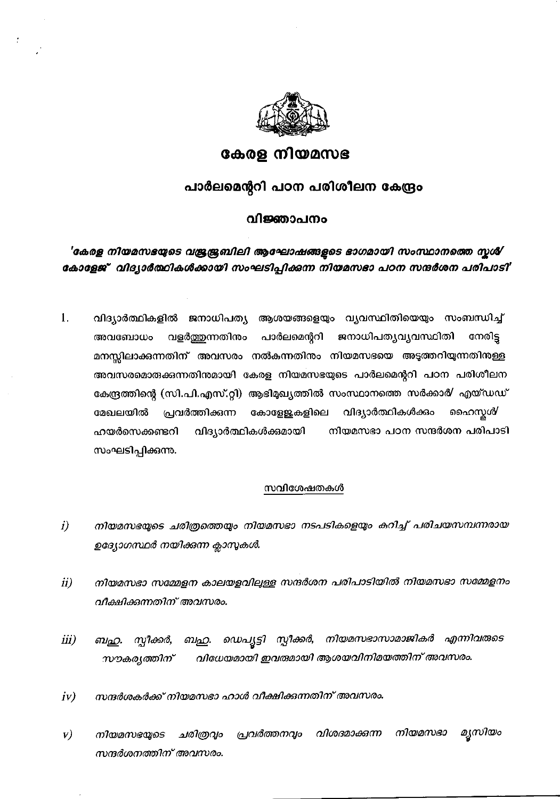

# കേരള നിയമസഭ

## പാർലമെന്ററി പഠന പരിശീലന കേന്ദ്രം

## വിജ്ഞാപനം

'കേരള നിയമസഭയുടെ വജ്രജ്രബിലി ആഘോഷങ്ങളടെ ഭാഗമായി സംസ്ഥാനത്തെ സൃശ് കോളേജ് വിദ്യാർത്ഥികൾക്കായി സംഘടിപ്പിക്കന്ന നിയമസഭാ പഠന സന്ദർശന പരിപാടി'

വിദ്യാർത്ഥികളിൽ ജനാധിപത്യ ആശയങ്ങളെയും വ്യവസ്ഥിതിയെയും സംബന്ധിച്ച് 1. വളർത്തുന്നതിനം അവബോധം പാർലമെന്ററി ജനാധിപത്യവ്യവസ്ഥിതി നേരിട്ട മനസ്സിലാക്കുന്നതിന് അവസരം നൽകന്നതിനം നിയമസഭയെ അടുത്തറിയുന്നതിനള്ള അവസരമൊരുക്കുന്നതിനമായി കേരള നിയമസഭയുടെ പാർലമെന്ററി പഠന പരിശീലന കേന്ദ്രത്തിന്റെ (സി.പി.എസ്.റ്റി) ആഭിമുഖ്യത്തിൽ സംസ്ഥാനത്തെ സർക്കാർ/ എയ്ഡഡ് പ്രവർത്തിക്കുന്ന കോള്ളേകളിലെ വിദ്യാർത്ഥികൾക്കം ഹൈസ്കൾ മേഖലയിൽ നിയമസഭാ പഠന സന്ദർശന പരിപാടി ഹയർസെക്കണ്ടറി വിദ്യാർത്ഥികൾക്കമായി സംഘടിപ്പിക്കന്നു.

### സവിശേഷതകൾ

- നിയമസഭയുടെ ചരിത്രത്തെയും നിയമസഭാ നടപടികളെയും കറിച്ച് പരിചയസമ്പന്നരായ i) ഉദ്യോഗസ്ഥർ നയിക്കന്ന ക്ലാസുകൾ.
- നിയമസഭാ സമ്മേളന കാലയളവിലുള്ള സന്ദർശന പരിപാടിയിൽ നിയമസഭാ സമ്മേളനം  $ii)$ വീക്ഷിക്കന്നതിന് അവസരം.
- ഡെപൃട്ടി സ്ലീക്കർ, നിയമസഭാസാമാജികർ എന്നിവരുടെ  $iii)$ ബഹു. സ്പീക്കർ, ബഹു. വിധേയമായി ഇവരുമായി ആശയവിനിമയത്തിന് അവസരം. സൗകരൃത്തിന്
- സന്ദർശകർക്ക് നിയമസഭാ ഹാൾ വീക്ഷിക്കന്നതിന് അവസരം.  $iv)$
- മൃസിയം വിശദമാക്കുന്ന നിയമസഭാ  $\mathbf{v})$ പ്രവർത്തനവും നിയമസഭയുടെ ചരിത്രവും സന്ദർശനത്തിന് അവസരം.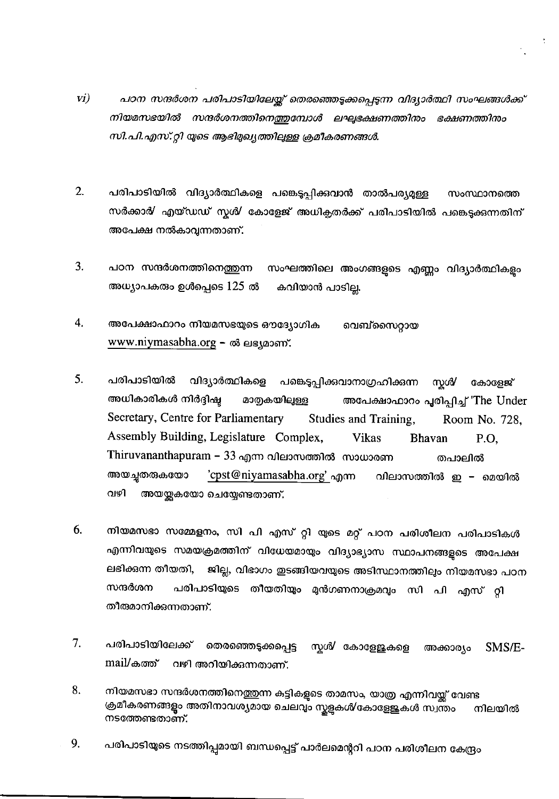- $VI)$ പഠന സന്ദർശന പരിപാടിയിലേയ്ക്ക് തെരഞ്ഞെടുക്കപ്പെടുന്ന വിദ്യാർത്ഥി സംഘങ്ങൾക്ക് നിയമസഭയിൽ സന്ദർശനത്തിനെത്തുമ്പോൾ ലഘ്ടഭക്ഷണത്തിനം ഭക്ഷണത്തിനം സി.പി.എസ്.റ്റി യുടെ ആഭിമുഖ്യത്തിലുള്ള ക്രമീകരണങ്ങൾ.
- $2.$ പരിപാടിയിൽ വിദ്യാർത്ഥികളെ പങ്കെടുപ്പിക്കവാൻ താൽപര്യമുള്ള സംസ്ഥാനത്തെ സർക്കാർ/ എയ്ഡഡ് സ്റ്റർ/ കോളേജ് അധിക്ലതർക്ക് പരിപാടിയിൽ പങ്കെടുക്കുന്നതിന് അപേക്ഷ നൽകാവുന്നതാണ്.
- $3.$ പഠന സന്ദർശനത്തിനെത്തുന്ന സംഘത്തിലെ അംഗങ്ങളുടെ എണ്ണം വിദ്യാർത്ഥികളം അധ്യാപകരും ഉൾപ്പെടെ  $125$  ൽ കവിയാൻ പാടില്ല.
- 4. അപേക്ഷാഫാറം നിയമസഭയുടെ ഔദ്യോഗിക വെബ്സൈറ്റായ www.niymasabha.org – ൽ ലഭ്യമാണ്.
- 5. പരിപാടിയിൽ വിദ്യാർത്ഥികളെ പങ്കെടുപ്പിക്കവാനാഗ്രഹിക്കന്ന സ്കൾ⁄ കോളേജ് അധികാരികൾ നിർദ്ദിഷ്ഠ മാതൃകയിലുള്ള അപേക്ഷാഫാറം പൂരിപ്പിച്ച് 'The Under Secretary, Centre for Parliamentary Studies and Training, Room No. 728. Assembly Building, Legislature Complex, Vikas **Bhavan** P.O. Thiruvananthapuram – 33 എന്ന വിലാസത്തിൽ സാധാരണ തപാലിൽ അയച്ചതരുകയോ 'cpst@niyamasabha.org' എന്ന വിലാസത്തിൽ ഇ – മെയിൽ വഴി അയയ്ക്കയോ ചെയ്യേണ്ടതാണ്.
- 6. നിയമസഭാ സമ്മേളനം, സി പി എസ് റ്റി യുടെ മറ്റ് പഠന പരിശീലന പരിപാടികൾ എന്നിവയുടെ സമയക്രമത്തിന് വിധേയമായും വിദ്യാഭ്യാസ സ്ഥാപനങ്ങളുടെ അപേക്ഷ ലഭിക്കുന്ന തീയതി, ജില്ല, വിഭാഗം ഇടങ്ങിയവയുടെ അടിസ്ഥാനത്തിലും നിയമസഭാ പഠന സന്ദർശന പരിപാടിയുടെ തീയതിയും മുൻഗണനാക്രമവും സി പി എസ് റ്റി തീരുമാനിക്കുന്നതാണ്.
- $7.$ പരിപാടിയിലേക്ക് തെരഞ്ഞെടുക്കപ്പെട്ട സ്മ*ർ* കോളേജുകളെ SMS/E-അക്കാര്യം mail/കത്ത് വഴി അറിയിക്കുന്നതാണ്.
- 8. നിയമസഭാ സന്ദർശനത്തിനെത്തുന്ന കട്ടികളുടെ താമസം, യാത്ര എന്നിവയ്ക്ക് വേണ്ട ക്രമീകരണങ്ങള്ളം അതിനാവശ്യമായ ചെലവും സ്കളുകൾ കോളേജുകൾ സ്വന്തം നിലയിൽ നടത്തേണ്ടതാണ്.
- 9. പരിപാടിയുടെ നടത്തിപ്പമായി ബന്ധപ്പെട്ട് പാർലമെന്ററി പഠന പരിശീലന കേന്ദ്രം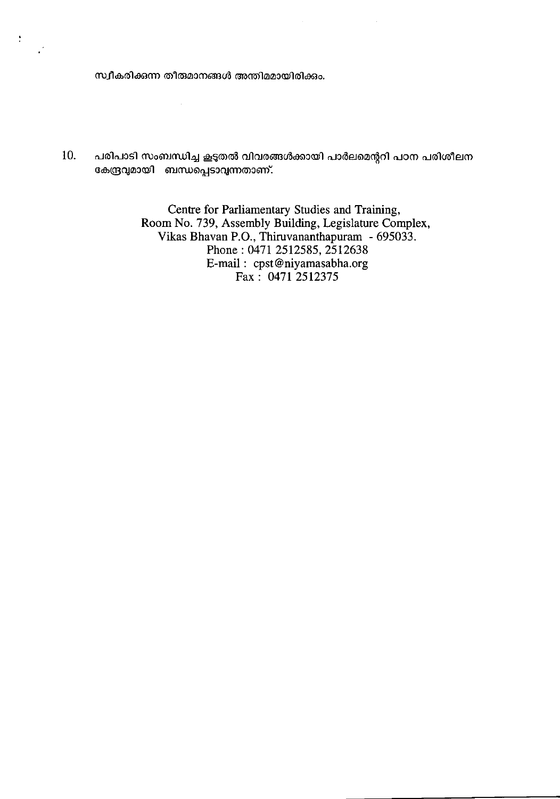സ്വീകരിക്കന്ന തീരുമാനങ്ങൾ അന്തിമമായിരിക്കും.

 $\tilde{\mathcal{A}}$ 

 $\ddot{\cdot}$ 

പരിപാടി സംബന്ധിച്ച കൂടുതൽ വിവരങ്ങൾക്കായി പാർലമെന്ററി പഠന പരിശീലന 10. കേന്ദ്രവുമായി ബന്ധപ്പെടാവുന്നതാണ്.

> Centre for Parliamentary Studies and Training, Room No. 739, Assembly Building, Legislature Complex,<br>Vikas Bhavan P.O., Thiruvananthapuram - 695033. Phone: 0471 2512585, 2512638 E-mail: cpst@niyamasabha.org<br>Fax: 0471 2512375